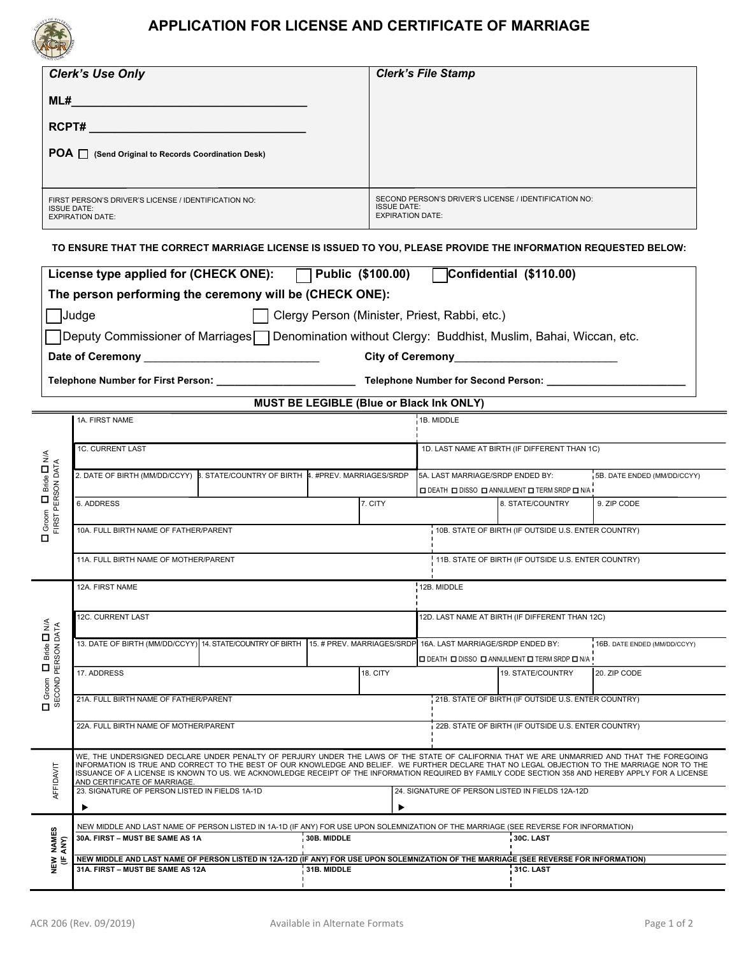

## **APPLICATION FOR LICENSE AND CERTIFICATE OF MARRIAGE**

| <b>Clerk's Use Only</b>                                                                               | <b>Clerk's File Stamp</b>                                                                              |
|-------------------------------------------------------------------------------------------------------|--------------------------------------------------------------------------------------------------------|
| ML#                                                                                                   |                                                                                                        |
| RCPT#                                                                                                 |                                                                                                        |
| POA   (Send Original to Records Coordination Desk)                                                    |                                                                                                        |
|                                                                                                       |                                                                                                        |
| FIRST PERSON'S DRIVER'S LICENSE / IDENTIFICATION NO:<br><b>ISSUE DATE:</b><br><b>EXPIRATION DATE:</b> | SECOND PERSON'S DRIVER'S LICENSE / IDENTIFICATION NO:<br><b>ISSUE DATE:</b><br><b>EXPIRATION DATE:</b> |

**TO ENSURE THAT THE CORRECT MARRIAGE LICENSE IS ISSUED TO YOU, PLEASE PROVIDE THE INFORMATION REQUESTED BELOW:** 

|                                                            | License type applied for (CHECK ONE):   Public (\$100.00)   Confidential (\$110.00)                                                                                                                                                                                                           |  |                                                     |                                                                                                                                                     |                                                                             |                              |  |  |
|------------------------------------------------------------|-----------------------------------------------------------------------------------------------------------------------------------------------------------------------------------------------------------------------------------------------------------------------------------------------|--|-----------------------------------------------------|-----------------------------------------------------------------------------------------------------------------------------------------------------|-----------------------------------------------------------------------------|------------------------------|--|--|
|                                                            | The person performing the ceremony will be (CHECK ONE):                                                                                                                                                                                                                                       |  |                                                     |                                                                                                                                                     |                                                                             |                              |  |  |
|                                                            | Clergy Person (Minister, Priest, Rabbi, etc.)<br>Judge                                                                                                                                                                                                                                        |  |                                                     |                                                                                                                                                     |                                                                             |                              |  |  |
|                                                            | □Deputy Commissioner of Marriages□ Denomination without Clergy: Buddhist, Muslim, Bahai, Wiccan, etc.                                                                                                                                                                                         |  |                                                     |                                                                                                                                                     |                                                                             |                              |  |  |
|                                                            |                                                                                                                                                                                                                                                                                               |  |                                                     |                                                                                                                                                     |                                                                             |                              |  |  |
|                                                            |                                                                                                                                                                                                                                                                                               |  |                                                     |                                                                                                                                                     |                                                                             |                              |  |  |
|                                                            |                                                                                                                                                                                                                                                                                               |  |                                                     |                                                                                                                                                     |                                                                             |                              |  |  |
| <b>MUST BE LEGIBLE (Blue or Black Ink ONLY)</b>            |                                                                                                                                                                                                                                                                                               |  |                                                     |                                                                                                                                                     |                                                                             |                              |  |  |
|                                                            | 1A. FIRST NAME                                                                                                                                                                                                                                                                                |  |                                                     | 1B. MIDDLE                                                                                                                                          |                                                                             |                              |  |  |
|                                                            | <b>1C. CURRENT LAST</b>                                                                                                                                                                                                                                                                       |  |                                                     | 1D. LAST NAME AT BIRTH (IF DIFFERENT THAN 1C)                                                                                                       |                                                                             |                              |  |  |
|                                                            | 2. DATE OF BIRTH (MM/DD/CCYY) B. STATE/COUNTRY OF BIRTH 4. #PREV. MARRIAGES/SRDP                                                                                                                                                                                                              |  |                                                     |                                                                                                                                                     |                                                                             |                              |  |  |
| Bride <b>D</b> N/A                                         |                                                                                                                                                                                                                                                                                               |  |                                                     | 5A. LAST MARRIAGE/SRDP ENDED BY:<br><b>O DEATH O DISSO O ANNULMENT O TERM SRDP O N/A I</b>                                                          |                                                                             | 5B. DATE ENDED (MM/DD/CCYY)  |  |  |
|                                                            | 6. ADDRESS                                                                                                                                                                                                                                                                                    |  | 7. CITY                                             |                                                                                                                                                     | 8. STATE/COUNTRY                                                            | 9. ZIP CODE                  |  |  |
| $\Box$ Groom $\Box$ Bride $\Box$ N<br>FIRST PERSON DATA    |                                                                                                                                                                                                                                                                                               |  |                                                     |                                                                                                                                                     |                                                                             |                              |  |  |
|                                                            | 10A. FULL BIRTH NAME OF FATHER/PARENT                                                                                                                                                                                                                                                         |  | 10B. STATE OF BIRTH (IF OUTSIDE U.S. ENTER COUNTRY) |                                                                                                                                                     |                                                                             |                              |  |  |
|                                                            | 11A. FULL BIRTH NAME OF MOTHER/PARENT                                                                                                                                                                                                                                                         |  |                                                     |                                                                                                                                                     | 11B. STATE OF BIRTH (IF OUTSIDE U.S. ENTER COUNTRY)                         |                              |  |  |
|                                                            |                                                                                                                                                                                                                                                                                               |  |                                                     |                                                                                                                                                     |                                                                             |                              |  |  |
| $\Box$ Groom $\Box$ Bride $\Box$ N/A<br>SECOND PERSON DATA | 12A. FIRST NAME                                                                                                                                                                                                                                                                               |  |                                                     | 12B. MIDDLE                                                                                                                                         |                                                                             |                              |  |  |
|                                                            | 12C. CURRENT LAST                                                                                                                                                                                                                                                                             |  | 12D. LAST NAME AT BIRTH (IF DIFFERENT THAN 12C)     |                                                                                                                                                     |                                                                             |                              |  |  |
|                                                            |                                                                                                                                                                                                                                                                                               |  |                                                     |                                                                                                                                                     |                                                                             |                              |  |  |
|                                                            | 13. DATE OF BIRTH (MM/DD/CCYY) 14. STATE/COUNTRY OF BIRTH 15. # PREV. MARRIAGES/SRDP 16A. LAST MARRIAGE/SRDP ENDED BY:                                                                                                                                                                        |  |                                                     |                                                                                                                                                     |                                                                             | 16B. DATE ENDED (MM/DD/CCYY) |  |  |
|                                                            | 17. ADDRESS                                                                                                                                                                                                                                                                                   |  | 18. CITY                                            |                                                                                                                                                     | <b>O DEATH O DISSO O ANNULMENT O TERM SRDP O N/A I</b><br>19. STATE/COUNTRY | 20. ZIP CODE                 |  |  |
|                                                            |                                                                                                                                                                                                                                                                                               |  |                                                     |                                                                                                                                                     |                                                                             |                              |  |  |
|                                                            | 21A. FULL BIRTH NAME OF FATHER/PARENT                                                                                                                                                                                                                                                         |  | 21B. STATE OF BIRTH (IF OUTSIDE U.S. ENTER COUNTRY) |                                                                                                                                                     |                                                                             |                              |  |  |
|                                                            | 22A. FULL BIRTH NAME OF MOTHER/PARENT                                                                                                                                                                                                                                                         |  |                                                     | 22B. STATE OF BIRTH (IF OUTSIDE U.S. ENTER COUNTRY)                                                                                                 |                                                                             |                              |  |  |
|                                                            |                                                                                                                                                                                                                                                                                               |  |                                                     |                                                                                                                                                     |                                                                             |                              |  |  |
| AFFIDAVIT                                                  | WE, THE UNDERSIGNED DECLARE UNDER PENALTY OF PERJURY UNDER THE LAWS OF THE STATE OF CALIFORNIA THAT WE ARE UNMARRIED AND THAT THE FOREGOING<br>INFORMATION IS TRUE AND CORRECT TO THE BEST OF OUR KNOWLEDGE AND BELIEF. WE FURTHER DECLARE THAT NO LEGAL OBJECTION TO THE MARRIAGE NOR TO THE |  |                                                     |                                                                                                                                                     |                                                                             |                              |  |  |
|                                                            | ISSUANCE OF A LICENSE IS KNOWN TO US. WE ACKNOWLEDGE RECEIPT OF THE INFORMATION REQUIRED BY FAMILY CODE SECTION 358 AND HEREBY APPLY FOR A LICENSE<br>AND CERTIFICATE OF MARRIAGE.                                                                                                            |  |                                                     |                                                                                                                                                     |                                                                             |                              |  |  |
|                                                            | 23. SIGNATURE OF PERSON LISTED IN FIELDS 1A-1D                                                                                                                                                                                                                                                |  |                                                     | 24. SIGNATURE OF PERSON LISTED IN FIELDS 12A-12D                                                                                                    |                                                                             |                              |  |  |
|                                                            | ▶<br>▶                                                                                                                                                                                                                                                                                        |  |                                                     |                                                                                                                                                     |                                                                             |                              |  |  |
| NEW NAMES<br><b>SE</b>                                     | NEW MIDDLE AND LAST NAME OF PERSON LISTED IN 1A-1D (IF ANY) FOR USE UPON SOLEMNIZATION OF THE MARRIAGE (SEE REVERSE FOR INFORMATION)                                                                                                                                                          |  |                                                     |                                                                                                                                                     |                                                                             |                              |  |  |
|                                                            | 30A. FIRST - MUST BE SAME AS 1A                                                                                                                                                                                                                                                               |  | 30B. MIDDLE                                         |                                                                                                                                                     | 30C. LAST                                                                   |                              |  |  |
|                                                            | 31A. FIRST - MUST BE SAME AS 12A                                                                                                                                                                                                                                                              |  | 31B. MIDDLE                                         | NEW MIDDLE AND LAST NAME OF PERSON LISTED IN 12A-12D (IF ANY) FOR USE UPON SOLEMNIZATION OF THE MARRIAGE (SEE REVERSE FOR INFORMATION)<br>31C. LAST |                                                                             |                              |  |  |
|                                                            |                                                                                                                                                                                                                                                                                               |  |                                                     |                                                                                                                                                     |                                                                             |                              |  |  |